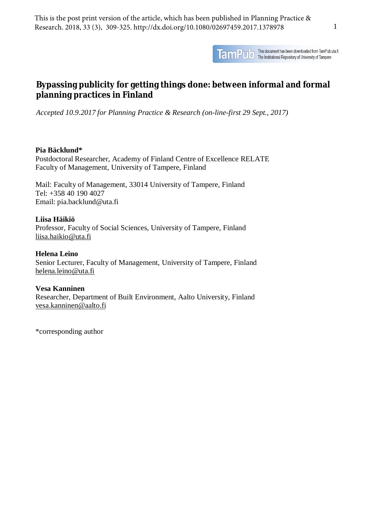

TamPulo This document has been downloaded from TamPub.uta.fi<br>TamPulo The Institutional Repository of University of Tampere

# **Bypassing publicity for getting things done: between informal and formal planning practices in Finland**

*Accepted 10.9.2017 for Planning Practice & Research (on-line-first 29 Sept., 2017)*

## **Pia Bäcklund\***

Postdoctoral Researcher, Academy of Finland Centre of Excellence RELATE Faculty of Management, University of Tampere, Finland

Mail: Faculty of Management, 33014 University of Tampere, Finland Tel: +358 40 190 4027 Email: pia.backlund@uta.fi

## **Liisa Häikiö**

Professor, Faculty of Social Sciences, University of Tampere, Finland [liisa.haikio@uta.fi](mailto:liisa.haikio@uta.fi) 

**Helena Leino** Senior Lecturer, Faculty of Management, University of Tampere, Finland [helena.leino@uta.fi](mailto:helena.leino@uta.fi) 

## **Vesa Kanninen**

Researcher, Department of Built Environment, Aalto University, Finland [vesa.kanninen@aalto.fi](mailto:vesa.kanninen@aalto.fi) 

\*corresponding author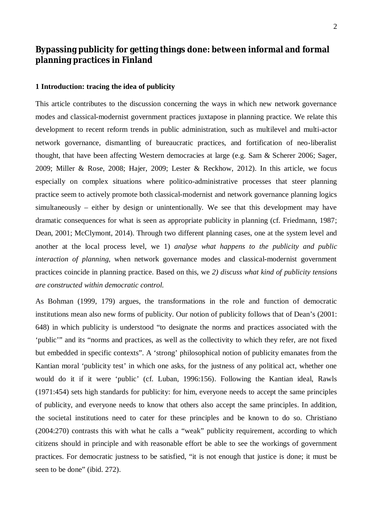## **Bypassing publicity for getting things done: between informal and formal planning practices in Finland**

#### **1 Introduction: tracing the idea of publicity**

This article contributes to the discussion concerning the ways in which new network governance modes and classical-modernist government practices juxtapose in planning practice. We relate this development to recent reform trends in public administration, such as multilevel and multi-actor network governance, dismantling of bureaucratic practices, and fortification of neo-liberalist thought, that have been affecting Western democracies at large (e.g. Sam & Scherer 2006; Sager, 2009; Miller & Rose, 2008; Hajer, 2009; Lester & Reckhow, 2012). In this article, we focus especially on complex situations where politico-administrative processes that steer planning practice seem to actively promote both classical-modernist and network governance planning logics simultaneously – either by design or unintentionally. We see that this development may have dramatic consequences for what is seen as appropriate publicity in planning (cf. Friedmann, 1987; Dean, 2001; McClymont, 2014). Through two different planning cases, one at the system level and another at the local process level, we 1) *analyse what happens to the publicity and public interaction of planning,* when network governance modes and classical-modernist government practices coincide in planning practice. Based on this, we *2) discuss what kind of publicity tensions are constructed within democratic control.* 

As Bohman (1999, 179) argues, the transformations in the role and function of democratic institutions mean also new forms of publicity. Our notion of publicity follows that of Dean's (2001: 648) in which publicity is understood "to designate the norms and practices associated with the 'public'" and its "norms and practices, as well as the collectivity to which they refer, are not fixed but embedded in specific contexts". A 'strong' philosophical notion of publicity emanates from the Kantian moral 'publicity test' in which one asks, for the justness of any political act, whether one would do it if it were 'public' (cf. Luban, 1996:156). Following the Kantian ideal, Rawls (1971:454) sets high standards for publicity: for him, everyone needs to accept the same principles of publicity, and everyone needs to know that others also accept the same principles. In addition, the societal institutions need to cater for these principles and be known to do so. Christiano (2004:270) contrasts this with what he calls a "weak" publicity requirement, according to which citizens should in principle and with reasonable effort be able to see the workings of government practices. For democratic justness to be satisfied, "it is not enough that justice is done; it must be seen to be done" (ibid. 272).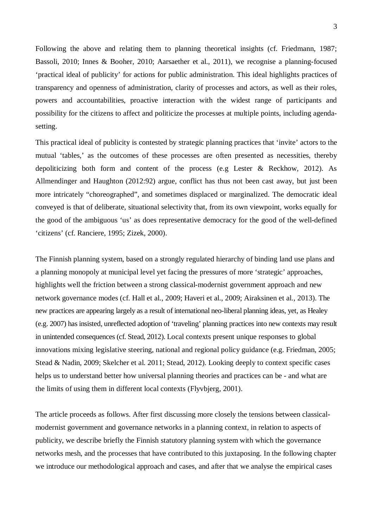Following the above and relating them to planning theoretical insights (cf. Friedmann, 1987; Bassoli, 2010; Innes & Booher, 2010; Aarsaether et al., 2011), we recognise a planning-focused 'practical ideal of publicity' for actions for public administration. This ideal highlights practices of transparency and openness of administration, clarity of processes and actors, as well as their roles, powers and accountabilities, proactive interaction with the widest range of participants and possibility for the citizens to affect and politicize the processes at multiple points, including agendasetting.

This practical ideal of publicity is contested by strategic planning practices that 'invite' actors to the mutual 'tables,' as the outcomes of these processes are often presented as necessities, thereby depoliticizing both form and content of the process (e.g Lester & Reckhow, 2012). As Allmendinger and Haughton (2012:92) argue, conflict has thus not been cast away, but just been more intricately "choreographed", and sometimes displaced or marginalized. The democratic ideal conveyed is that of deliberate, situational selectivity that, from its own viewpoint, works equally for the good of the ambiguous 'us' as does representative democracy for the good of the well-defined 'citizens' (cf. Ranciere, 1995; Zizek, 2000).

The Finnish planning system, based on a strongly regulated hierarchy of binding land use plans and a planning monopoly at municipal level yet facing the pressures of more 'strategic' approaches, highlights well the friction between a strong classical-modernist government approach and new network governance modes (cf. Hall et al., 2009; Haveri et al., 2009; Airaksinen et al., 2013). The new practices are appearing largely as a result of international neo-liberal planning ideas, yet, as Healey (e.g. 2007) has insisted, unreflected adoption of 'traveling' planning practices into new contexts may result in unintended consequences (cf. Stead, 2012). Local contexts present unique responses to global innovations mixing legislative steering, national and regional policy guidance (e.g. Friedman, 2005; Stead & Nadin, 2009; Skelcher et al. 2011; Stead, 2012). Looking deeply to context specific cases helps us to understand better how universal planning theories and practices can be - and what are the limits of using them in different local contexts (Flyvbjerg, 2001).

The article proceeds as follows. After first discussing more closely the tensions between classicalmodernist government and governance networks in a planning context, in relation to aspects of publicity, we describe briefly the Finnish statutory planning system with which the governance networks mesh, and the processes that have contributed to this juxtaposing. In the following chapter we introduce our methodological approach and cases, and after that we analyse the empirical cases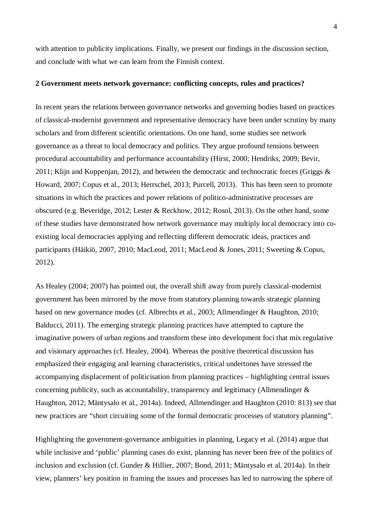with attention to publicity implications. Finally, we present our findings in the discussion section, and conclude with what we can learn from the Finnish context.

#### **2 Government meets network governance: conflicting concepts, rules and practices?**

In recent years the relations between governance networks and governing bodies based on practices of classical-modernist government and representative democracy have been under scrutiny by many scholars and from different scientific orientations. On one hand, some studies see network governance as a threat to local democracy and politics. They argue profound tensions between procedural accountability and performance accountability (Hirst, 2000; Hendriks, 2009; Bevir, 2011; Klijn and Koppenjan, 2012), and between the democratic and technocratic forces (Griggs & Howard, 2007; Copus et al., 2013; Herrschel, 2013; Purcell, 2013). This has been seen to promote situations in which the practices and power relations of politico-administrative processes are obscured (e.g. Beveridge, 2012; Lester & Reckhow, 2012; Rosol, 2013). On the other hand, some of these studies have demonstrated how network governance may multiply local democracy into coexisting local democracies applying and reflecting different democratic ideas, practices and participants (Häikiö, 2007, 2010; MacLeod, 2011; MacLeod & Jones, 2011; Sweeting & Copus, 2012).

As Healey (2004; 2007) has pointed out, the overall shift away from purely classical-modernist government has been mirrored by the move from statutory planning towards strategic planning based on new governance modes (cf. Albrechts et al., 2003; Allmendinger & Haughton, 2010; Balducci, 2011). The emerging strategic planning practices have attempted to capture the imaginative powers of urban regions and transform these into development foci that mix regulative and visionary approaches (cf. Healey, 2004). Whereas the positive theoretical discussion has emphasized their engaging and learning characteristics, critical undertones have stressed the accompanying displacement of politicisation from planning practices – highlighting central issues concerning publicity, such as accountability, transparency and legitimacy (Allmendinger & Haughton, 2012; Mäntysalo et al., 2014a). Indeed, Allmendinger and Haughton (2010: 813) see that new practices are "short circuiting some of the formal democratic processes of statutory planning".

Highlighting the government-governance ambiguities in planning, Legacy et al. (2014) argue that while inclusive and 'public' planning cases do exist, planning has never been free of the politics of inclusion and exclusion (cf. Gunder & Hillier, 2007; Bond, 2011; Mäntysalo et al. 2014a). In their view, planners' key position in framing the issues and processes has led to narrowing the sphere of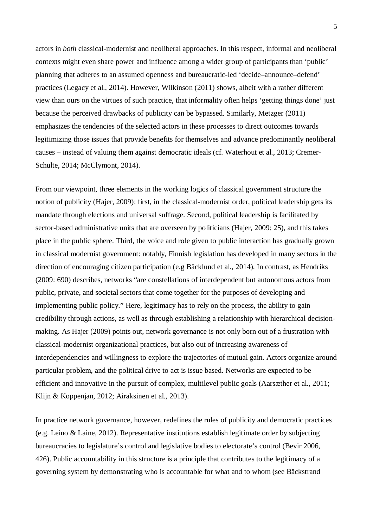actors in *both* classical-modernist and neoliberal approaches. In this respect, informal and neoliberal contexts might even share power and influence among a wider group of participants than 'public' planning that adheres to an assumed openness and bureaucratic-led 'decide–announce–defend' practices (Legacy et al., 2014). However, Wilkinson (2011) shows, albeit with a rather different view than ours on the virtues of such practice, that informality often helps 'getting things done' just because the perceived drawbacks of publicity can be bypassed. Similarly, Metzger (2011) emphasizes the tendencies of the selected actors in these processes to direct outcomes towards legitimizing those issues that provide benefits for themselves and advance predominantly neoliberal causes – instead of valuing them against democratic ideals (cf. Waterhout et al., 2013; Cremer-Schulte, 2014; McClymont, 2014).

From our viewpoint, three elements in the working logics of classical government structure the notion of publicity (Hajer, 2009): first, in the classical-modernist order, political leadership gets its mandate through elections and universal suffrage. Second, political leadership is facilitated by sector-based administrative units that are overseen by politicians (Hajer, 2009: 25), and this takes place in the public sphere. Third, the voice and role given to public interaction has gradually grown in classical modernist government: notably, Finnish legislation has developed in many sectors in the direction of encouraging citizen participation (e.g Bäcklund et al., 2014). In contrast, as Hendriks (2009: 690) describes, networks "are constellations of interdependent but autonomous actors from public, private, and societal sectors that come together for the purposes of developing and implementing public policy." Here, legitimacy has to rely on the process, the ability to gain credibility through actions, as well as through establishing a relationship with hierarchical decisionmaking. As Hajer (2009) points out, network governance is not only born out of a frustration with classical-modernist organizational practices, but also out of increasing awareness of interdependencies and willingness to explore the trajectories of mutual gain. Actors organize around particular problem, and the political drive to act is issue based. Networks are expected to be efficient and innovative in the pursuit of complex, multilevel public goals (Aarsæther et al., 2011; Klijn & Koppenjan, 2012; Airaksinen et al., 2013).

In practice network governance, however, redefines the rules of publicity and democratic practices (e.g. Leino & Laine, 2012). Representative institutions establish legitimate order by subjecting bureaucracies to legislature's control and legislative bodies to electorate's control (Bevir 2006, 426). Public accountability in this structure is a principle that contributes to the legitimacy of a governing system by demonstrating who is accountable for what and to whom (see Bäckstrand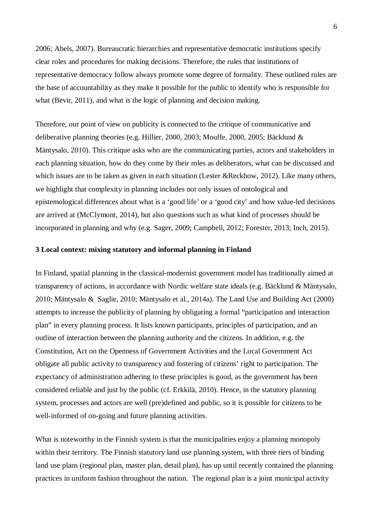2006; Abels, 2007). Bureaucratic hierarchies and representative democratic institutions specify clear roles and procedures for making decisions. Therefore, the rules that institutions of representative democracy follow always promote some degree of formality. These outlined rules are the base of accountability as they make it possible for the public to identify who is responsible for what (Bevir, 2011), and what is the logic of planning and decision making.

Therefore, our point of view on publicity is connected to the critique of communicative and deliberative planning theories (e.g. Hillier, 2000, 2003; Mouffe, 2000, 2005; Bäcklund & Mäntysalo, 2010). This critique asks who are the communicating parties, actors and stakeholders in each planning situation, how do they come by their roles as deliberators, what can be discussed and which issues are to be taken as given in each situation (Lester &Reckhow, 2012). Like many others, we highlight that complexity in planning includes not only issues of ontological and epistemological differences about what is a 'good life' or a 'good city' and how value-led decisions are arrived at (McClymont, 2014), but also questions such as what kind of processes should be incorporated in planning and why (e.g. Sager, 2009; Campbell, 2012; Forester, 2013; Inch, 2015).

#### **3 Local context: mixing statutory and informal planning in Finland**

In Finland, spatial planning in the classical-modernist government model has traditionally aimed at transparency of actions, in accordance with Nordic welfare state ideals (e.g. Bäcklund & Mäntysalo, 2010; Mäntysalo & Saglie, 2010; Mäntysalo et al., 2014a). The Land Use and Building Act (2000) attempts to increase the publicity of planning by obligating a formal "participation and interaction plan" in every planning process. It lists known participants, principles of participation, and an outline of interaction between the planning authority and the citizens. In addition, e.g. the Constitution, Act on the Openness of Government Activities and the Local Government Act obligate all public activity to transparency and fostering of citizens' right to participation. The expectancy of administration adhering to these principles is good, as the government has been considered reliable and just by the public (cf. Erkkilä, 2010). Hence, in the statutory planning system, processes and actors are well (pre)defined and public, so it is possible for citizens to be well-informed of on-going and future planning activities.

What is noteworthy in the Finnish system is that the municipalities enjoy a planning monopoly within their territory. The Finnish statutory land use planning system, with three tiers of binding land use plans (regional plan, master plan, detail plan), has up until recently contained the planning practices in uniform fashion throughout the nation. The regional plan is a joint municipal activity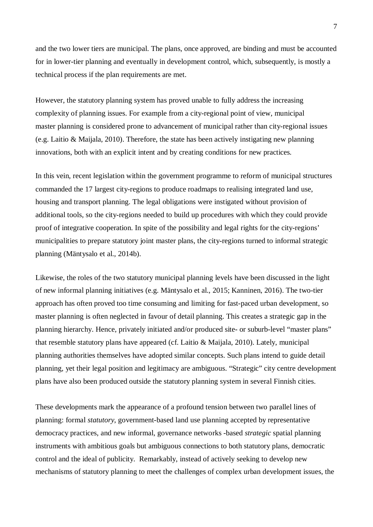and the two lower tiers are municipal. The plans, once approved, are binding and must be accounted for in lower-tier planning and eventually in development control, which, subsequently, is mostly a technical process if the plan requirements are met.

However, the statutory planning system has proved unable to fully address the increasing complexity of planning issues. For example from a city-regional point of view, municipal master planning is considered prone to advancement of municipal rather than city-regional issues (e.g. Laitio & Maijala, 2010). Therefore, the state has been actively instigating new planning innovations, both with an explicit intent and by creating conditions for new practices.

In this vein, recent legislation within the government programme to reform of municipal structures commanded the 17 largest city-regions to produce roadmaps to realising integrated land use, housing and transport planning. The legal obligations were instigated without provision of additional tools, so the city-regions needed to build up procedures with which they could provide proof of integrative cooperation. In spite of the possibility and legal rights for the city-regions' municipalities to prepare statutory joint master plans, the city-regions turned to informal strategic planning (Mäntysalo et al., 2014b).

Likewise, the roles of the two statutory municipal planning levels have been discussed in the light of new informal planning initiatives (e.g. Mäntysalo et al., 2015; Kanninen, 2016). The two-tier approach has often proved too time consuming and limiting for fast-paced urban development, so master planning is often neglected in favour of detail planning. This creates a strategic gap in the planning hierarchy. Hence, privately initiated and/or produced site- or suburb-level "master plans" that resemble statutory plans have appeared (cf. Laitio & Maijala, 2010). Lately, municipal planning authorities themselves have adopted similar concepts. Such plans intend to guide detail planning, yet their legal position and legitimacy are ambiguous. "Strategic" city centre development plans have also been produced outside the statutory planning system in several Finnish cities.

These developments mark the appearance of a profound tension between two parallel lines of planning: formal *statutory*, government-based land use planning accepted by representative democracy practices, and new informal, governance networks -based *strategic* spatial planning instruments with ambitious goals but ambiguous connections to both statutory plans, democratic control and the ideal of publicity. Remarkably, instead of actively seeking to develop new mechanisms of statutory planning to meet the challenges of complex urban development issues, the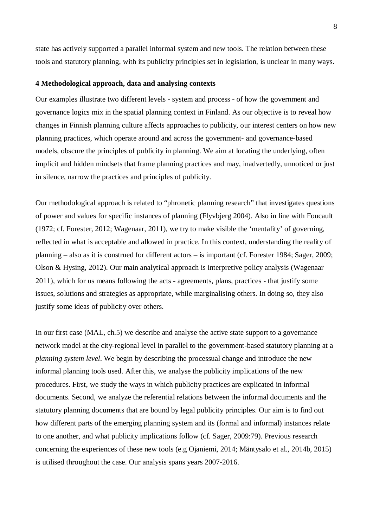state has actively supported a parallel informal system and new tools. The relation between these tools and statutory planning, with its publicity principles set in legislation, is unclear in many ways.

#### **4 Methodological approach, data and analysing contexts**

Our examples illustrate two different levels - system and process - of how the government and governance logics mix in the spatial planning context in Finland. As our objective is to reveal how changes in Finnish planning culture affects approaches to publicity, our interest centers on how new planning practices, which operate around and across the government- and governance-based models, obscure the principles of publicity in planning. We aim at locating the underlying, often implicit and hidden mindsets that frame planning practices and may, inadvertedly, unnoticed or just in silence, narrow the practices and principles of publicity.

Our methodological approach is related to "phronetic planning research" that investigates questions of power and values for specific instances of planning (Flyvbjerg 2004). Also in line with Foucault (1972; cf. Forester, 2012; Wagenaar, 2011), we try to make visible the 'mentality' of governing, reflected in what is acceptable and allowed in practice. In this context, understanding the reality of planning – also as it is construed for different actors – is important (cf. Forester 1984; Sager, 2009; Olson & Hysing, 2012). Our main analytical approach is interpretive policy analysis (Wagenaar 2011), which for us means following the acts - agreements, plans, practices - that justify some issues, solutions and strategies as appropriate, while marginalising others. In doing so, they also justify some ideas of publicity over others.

In our first case (MAL, ch.5) we describe and analyse the active state support to a governance network model at the city-regional level in parallel to the government-based statutory planning at a *planning system level*. We begin by describing the processual change and introduce the new informal planning tools used. After this, we analyse the publicity implications of the new procedures. First, we study the ways in which publicity practices are explicated in informal documents. Second, we analyze the referential relations between the informal documents and the statutory planning documents that are bound by legal publicity principles. Our aim is to find out how different parts of the emerging planning system and its (formal and informal) instances relate to one another, and what publicity implications follow (cf. Sager, 2009:79). Previous research concerning the experiences of these new tools (e.g Ojaniemi, 2014; Mäntysalo et al., 2014b, 2015) is utilised throughout the case. Our analysis spans years 2007-2016.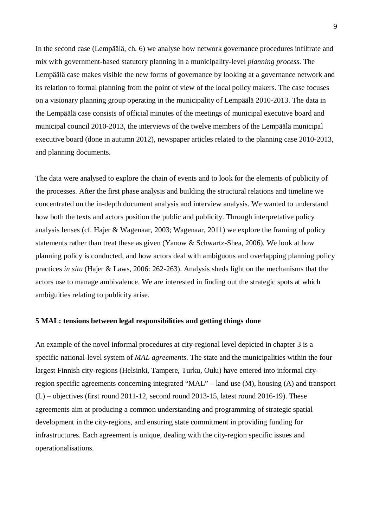In the second case (Lempäälä, ch. 6) we analyse how network governance procedures infiltrate and mix with government-based statutory planning in a municipality-level *planning process*. The Lempäälä case makes visible the new forms of governance by looking at a governance network and its relation to formal planning from the point of view of the local policy makers. The case focuses on a visionary planning group operating in the municipality of Lempäälä 2010-2013. The data in the Lempäälä case consists of official minutes of the meetings of municipal executive board and municipal council 2010-2013, the interviews of the twelve members of the Lempäälä municipal executive board (done in autumn 2012), newspaper articles related to the planning case 2010-2013, and planning documents.

The data were analysed to explore the chain of events and to look for the elements of publicity of the processes. After the first phase analysis and building the structural relations and timeline we concentrated on the in-depth document analysis and interview analysis. We wanted to understand how both the texts and actors position the public and publicity. Through interpretative policy analysis lenses (cf. Hajer & Wagenaar, 2003; Wagenaar, 2011) we explore the framing of policy statements rather than treat these as given (Yanow & Schwartz-Shea, 2006). We look at how planning policy is conducted, and how actors deal with ambiguous and overlapping planning policy practices *in situ* (Hajer & Laws, 2006: 262-263). Analysis sheds light on the mechanisms that the actors use to manage ambivalence. We are interested in finding out the strategic spots at which ambiguities relating to publicity arise.

#### **5 MAL: tensions between legal responsibilities and getting things done**

An example of the novel informal procedures at city-regional level depicted in chapter 3 is a specific national-level system of *MAL agreements*. The state and the municipalities within the four largest Finnish city-regions (Helsinki, Tampere, Turku, Oulu) have entered into informal cityregion specific agreements concerning integrated "MAL" – land use (M), housing (A) and transport (L) – objectives (first round 2011-12, second round 2013-15, latest round 2016-19). These agreements aim at producing a common understanding and programming of strategic spatial development in the city-regions, and ensuring state commitment in providing funding for infrastructures. Each agreement is unique, dealing with the city-region specific issues and operationalisations.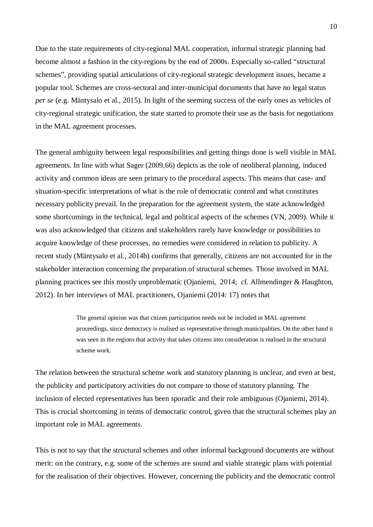Due to the state requirements of city-regional MAL cooperation, informal strategic planning had become almost a fashion in the city-regions by the end of 2000s. Especially so-called "structural schemes", providing spatial articulations of city-regional strategic development issues, became a popular tool. Schemes are cross-sectoral and inter-municipal documents that have no legal status *per se* (e.g. Mäntysalo et al., 2015). In light of the seeming success of the early ones as vehicles of city-regional strategic unification, the state started to promote their use as the basis for negotiations in the MAL agreement processes.

The general ambiguity between legal responsibilities and getting things done is well visible in MAL agreements. In line with what Sager (2009,66) depicts as the role of neoliberal planning, induced activity and common ideas are seen primary to the procedural aspects. This means that case- and situation-specific interpretations of what is the role of democratic control and what constitutes necessary publicity prevail. In the preparation for the agreement system, the state acknowledged some shortcomings in the technical, legal and political aspects of the schemes (VN, 2009). While it was also acknowledged that citizens and stakeholders rarely have knowledge or possibilities to acquire knowledge of these processes, no remedies were considered in relation to publicity. A recent study (Mäntysalo et al., 2014b) confirms that generally, citizens are not accounted for in the stakeholder interaction concerning the preparation of structural schemes. Those involved in MAL planning practices see this mostly unproblematic (Ojaniemi, 2014; cf. Allmendinger & Haughton, 2012). In her interviews of MAL practitioners, Ojaniemi (2014: 17) notes that

> The general opinion was that citizen participation needs not be included in MAL agreement proceedings, since democracy is realised as representative through municipalities. On the other hand it was seen in the regions that activity that takes citizens into consideration is realised in the structural scheme work.

The relation between the structural scheme work and statutory planning is unclear, and even at best, the publicity and participatory activities do not compare to those of statutory planning. The inclusion of elected representatives has been sporadic and their role ambiguous (Ojaniemi, 2014). This is crucial shortcoming in terms of democratic control, given that the structural schemes play an important role in MAL agreements.

This is not to say that the structural schemes and other informal background documents are without merit: on the contrary, e.g. some of the schemes are sound and viable strategic plans with potential for the realisation of their objectives. However, concerning the publicity and the democratic control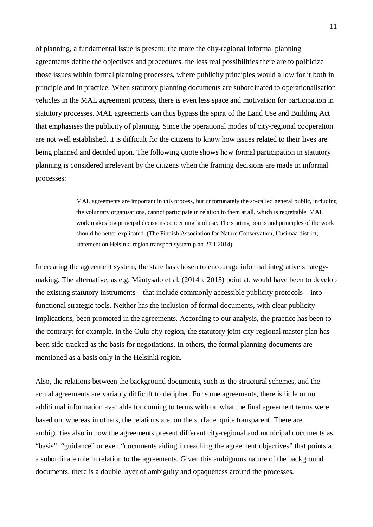of planning, a fundamental issue is present: the more the city-regional informal planning agreements define the objectives and procedures, the less real possibilities there are to politicize those issues within formal planning processes, where publicity principles would allow for it both in principle and in practice. When statutory planning documents are subordinated to operationalisation vehicles in the MAL agreement process, there is even less space and motivation for participation in statutory processes. MAL agreements can thus bypass the spirit of the Land Use and Building Act that emphasises the publicity of planning. Since the operational modes of city-regional cooperation are not well established, it is difficult for the citizens to know how issues related to their lives are being planned and decided upon. The following quote shows how formal participation in statutory planning is considered irrelevant by the citizens when the framing decisions are made in informal processes:

> MAL agreements are important in this process, but unfortunately the so-called general public, including the voluntary organisations, cannot participate in relation to them at all, which is regrettable. MAL work makes big principal decisions concerning land use. The starting points and principles of the work should be better explicated. (The Finnish Association for Nature Conservation, Uusimaa district, statement on Helsinki region transport system plan 27.1.2014)

In creating the agreement system, the state has chosen to encourage informal integrative strategymaking. The alternative, as e.g. Mäntysalo et al. (2014b, 2015) point at, would have been to develop the existing statutory instruments – that include commonly accessible publicity protocols – into functional strategic tools. Neither has the inclusion of formal documents, with clear publicity implications, been promoted in the agreements. According to our analysis, the practice has been to the contrary: for example, in the Oulu city-region, the statutory joint city-regional master plan has been side-tracked as the basis for negotiations. In others, the formal planning documents are mentioned as a basis only in the Helsinki region.

Also, the relations between the background documents, such as the structural schemes, and the actual agreements are variably difficult to decipher. For some agreements, there is little or no additional information available for coming to terms with on what the final agreement terms were based on, whereas in others, the relations are, on the surface, quite transparent. There are ambiguities also in how the agreements present different city-regional and municipal documents as "basis", "guidance" or even "documents aiding in reaching the agreement objectives" that points at a subordinate role in relation to the agreements. Given this ambiguous nature of the background documents, there is a double layer of ambiguity and opaqueness around the processes.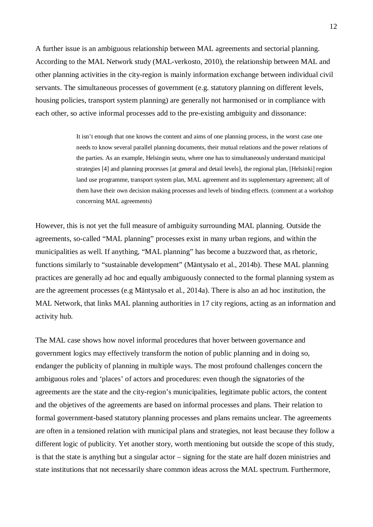A further issue is an ambiguous relationship between MAL agreements and sectorial planning. According to the MAL Network study (MAL-verkosto, 2010), the relationship between MAL and other planning activities in the city-region is mainly information exchange between individual civil servants. The simultaneous processes of government (e.g. statutory planning on different levels, housing policies, transport system planning) are generally not harmonised or in compliance with each other, so active informal processes add to the pre-existing ambiguity and dissonance:

> It isn't enough that one knows the content and aims of one planning process, in the worst case one needs to know several parallel planning documents, their mutual relations and the power relations of the parties. As an example, Helsingin seutu, where one has to simultaneously understand municipal strategies [4] and planning processes [at general and detail levels], the regional plan, [Helsinki] region land use programme, transport system plan, MAL agreement and its supplementary agreement; all of them have their own decision making processes and levels of binding effects. (comment at a workshop concerning MAL agreements)

However, this is not yet the full measure of ambiguity surrounding MAL planning. Outside the agreements, so-called "MAL planning" processes exist in many urban regions, and within the municipalities as well. If anything, "MAL planning" has become a buzzword that, as rhetoric, functions similarly to "sustainable development" (Mäntysalo et al., 2014b). These MAL planning practices are generally ad hoc and equally ambiguously connected to the formal planning system as are the agreement processes (e.g Mäntysalo et al., 2014a). There is also an ad hoc institution, the MAL Network, that links MAL planning authorities in 17 city regions, acting as an information and activity hub.

The MAL case shows how novel informal procedures that hover between governance and government logics may effectively transform the notion of public planning and in doing so, endanger the publicity of planning in multiple ways. The most profound challenges concern the ambiguous roles and 'places' of actors and procedures: even though the signatories of the agreements are the state and the city-region's municipalities, legitimate public actors, the content and the objetives of the agreements are based on informal processes and plans. Their relation to formal government-based statutory planning processes and plans remains unclear. The agreements are often in a tensioned relation with municipal plans and strategies, not least because they follow a different logic of publicity. Yet another story, worth mentioning but outside the scope of this study, is that the state is anything but a singular actor – signing for the state are half dozen ministries and state institutions that not necessarily share common ideas across the MAL spectrum. Furthermore,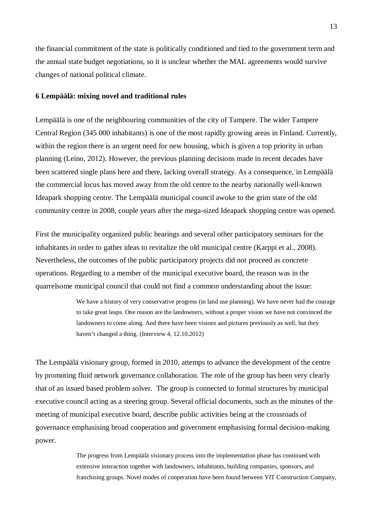the financial commitment of the state is politically conditioned and tied to the government term and the annual state budget negotiations, so it is unclear whether the MAL agreements would survive changes of national political climate.

#### **6 Lempäälä: mixing novel and traditional rules**

Lempäälä is one of the neighbouring communities of the city of Tampere. The wider Tampere Central Region (345 000 inhabitants) is one of the most rapidly growing areas in Finland. Currently, within the region there is an urgent need for new housing, which is given a top priority in urban planning (Leino, 2012). However, the previous planning decisions made in recent decades have been scattered single plans here and there, lacking overall strategy. As a consequence, in Lempäälä the commercial locus has moved away from the old centre to the nearby nationally well-known Ideapark shopping centre. The Lempäälä municipal council awoke to the grim state of the old community centre in 2008, couple years after the mega-sized Ideapark shopping centre was opened.

First the municipality organized public hearings and several other participatory seminars for the inhabitants in order to gather ideas to revitalize the old municipal centre (Karppi et al., 2008). Nevertheless, the outcomes of the public participatory projects did not proceed as concrete operations. Regarding to a member of the municipal executive board, the reason was in the quarrelsome municipal council that could not find a common understanding about the issue:

> We have a history of very conservative progress (in land use planning). We have never had the courage to take great leaps. One reason are the landowners, without a proper vision we have not convinced the landowners to come along. And there have been visions and pictures previously as well, but they haven't changed a thing. (Interview 4, 12.10.2012)

The Lempäälä visionary group, formed in 2010, attemps to advance the development of the centre by promoting fluid network governance collaboration. The role of the group has been very clearly that of an issued based problem solver. The group is connected to formal structures by municipal executive council acting as a steering group. Several official documents, such as the minutes of the meeting of municipal executive board, describe public activities being at the crossroads of governance emphasising broad cooperation and government emphasising formal decision-making power.

> The progress from Lempäälä visionary process into the implementation phase has continued with extensive interaction together with landowners, inhabitants, building companies, sponsors, and franchising groups. Novel modes of cooperation have been found between YIT Construction Company,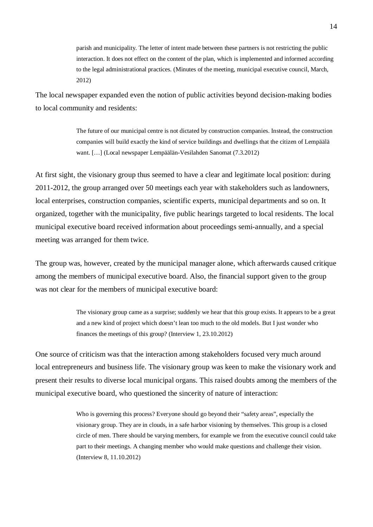parish and municipality. The letter of intent made between these partners is not restricting the public interaction. It does not effect on the content of the plan, which is implemented and informed according to the legal administrational practices. (Minutes of the meeting, municipal executive council, March, 2012)

The local newspaper expanded even the notion of public activities beyond decision-making bodies to local community and residents:

> The future of our municipal centre is not dictated by construction companies. Instead, the construction companies will build exactly the kind of service buildings and dwellings that the citizen of Lempäälä want. […] (Local newspaper Lempäälän-Vesilahden Sanomat (7.3.2012)

At first sight, the visionary group thus seemed to have a clear and legitimate local position: during 2011-2012, the group arranged over 50 meetings each year with stakeholders such as landowners, local enterprises, construction companies, scientific experts, municipal departments and so on. It organized, together with the municipality, five public hearings targeted to local residents. The local municipal executive board received information about proceedings semi-annually, and a special meeting was arranged for them twice.

The group was, however, created by the municipal manager alone, which afterwards caused critique among the members of municipal executive board. Also, the financial support given to the group was not clear for the members of municipal executive board:

> The visionary group came as a surprise; suddenly we hear that this group exists. It appears to be a great and a new kind of project which doesn't lean too much to the old models. But I just wonder who finances the meetings of this group? (Interview 1, 23.10.2012)

One source of criticism was that the interaction among stakeholders focused very much around local entrepreneurs and business life. The visionary group was keen to make the visionary work and present their results to diverse local municipal organs. This raised doubts among the members of the municipal executive board, who questioned the sincerity of nature of interaction:

> Who is governing this process? Everyone should go beyond their "safety areas", especially the visionary group. They are in clouds, in a safe harbor visioning by themselves. This group is a closed circle of men. There should be varying members, for example we from the executive council could take part to their meetings. A changing member who would make questions and challenge their vision. (Interview 8, 11.10.2012)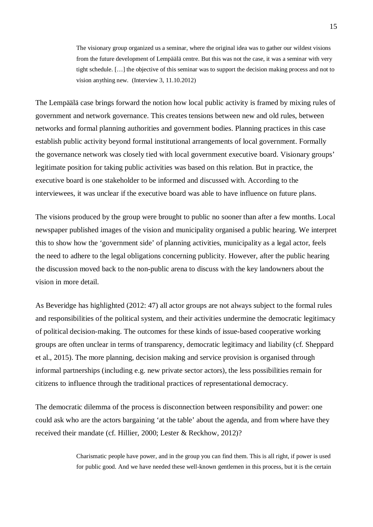The visionary group organized us a seminar, where the original idea was to gather our wildest visions from the future development of Lempäälä centre. But this was not the case, it was a seminar with very tight schedule. […] the objective of this seminar was to support the decision making process and not to vision anything new. (Interview 3, 11.10.2012)

The Lempäälä case brings forward the notion how local public activity is framed by mixing rules of government and network governance. This creates tensions between new and old rules, between networks and formal planning authorities and government bodies. Planning practices in this case establish public activity beyond formal institutional arrangements of local government. Formally the governance network was closely tied with local government executive board. Visionary groups' legitimate position for taking public activities was based on this relation. But in practice, the executive board is one stakeholder to be informed and discussed with. According to the interviewees, it was unclear if the executive board was able to have influence on future plans.

The visions produced by the group were brought to public no sooner than after a few months. Local newspaper published images of the vision and municipality organised a public hearing. We interpret this to show how the 'government side' of planning activities, municipality as a legal actor, feels the need to adhere to the legal obligations concerning publicity. However, after the public hearing the discussion moved back to the non-public arena to discuss with the key landowners about the vision in more detail.

As Beveridge has highlighted (2012: 47) all actor groups are not always subject to the formal rules and responsibilities of the political system, and their activities undermine the democratic legitimacy of political decision-making. The outcomes for these kinds of issue-based cooperative working groups are often unclear in terms of transparency, democratic legitimacy and liability (cf. Sheppard et al., 2015). The more planning, decision making and service provision is organised through informal partnerships (including e.g. new private sector actors), the less possibilities remain for citizens to influence through the traditional practices of representational democracy.

The democratic dilemma of the process is disconnection between responsibility and power: one could ask who are the actors bargaining 'at the table' about the agenda, and from where have they received their mandate (cf. Hillier, 2000; Lester & Reckhow, 2012)?

> Charismatic people have power, and in the group you can find them. This is all right, if power is used for public good. And we have needed these well-known gentlemen in this process, but it is the certain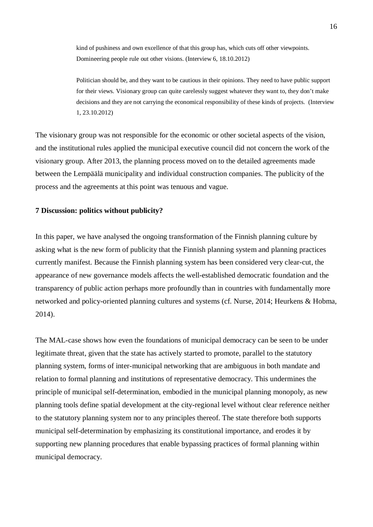kind of pushiness and own excellence of that this group has, which cuts off other viewpoints. Domineering people rule out other visions. (Interview 6, 18.10.2012)

Politician should be, and they want to be cautious in their opinions. They need to have public support for their views. Visionary group can quite carelessly suggest whatever they want to, they don't make decisions and they are not carrying the economical responsibility of these kinds of projects. (Interview 1, 23.10.2012)

The visionary group was not responsible for the economic or other societal aspects of the vision, and the institutional rules applied the municipal executive council did not concern the work of the visionary group. After 2013, the planning process moved on to the detailed agreements made between the Lempäälä municipality and individual construction companies. The publicity of the process and the agreements at this point was tenuous and vague.

#### **7 Discussion: politics without publicity?**

In this paper, we have analysed the ongoing transformation of the Finnish planning culture by asking what is the new form of publicity that the Finnish planning system and planning practices currently manifest. Because the Finnish planning system has been considered very clear-cut, the appearance of new governance models affects the well-established democratic foundation and the transparency of public action perhaps more profoundly than in countries with fundamentally more networked and policy-oriented planning cultures and systems (cf. Nurse, 2014; Heurkens & Hobma, 2014).

The MAL-case shows how even the foundations of municipal democracy can be seen to be under legitimate threat, given that the state has actively started to promote, parallel to the statutory planning system, forms of inter-municipal networking that are ambiguous in both mandate and relation to formal planning and institutions of representative democracy. This undermines the principle of municipal self-determination, embodied in the municipal planning monopoly, as new planning tools define spatial development at the city-regional level without clear reference neither to the statutory planning system nor to any principles thereof. The state therefore both supports municipal self-determination by emphasizing its constitutional importance, and erodes it by supporting new planning procedures that enable bypassing practices of formal planning within municipal democracy.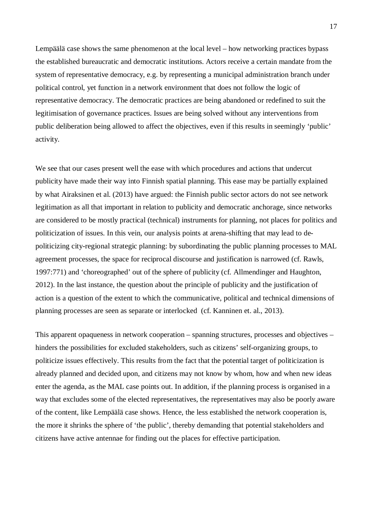Lempäälä case shows the same phenomenon at the local level – how networking practices bypass the established bureaucratic and democratic institutions. Actors receive a certain mandate from the system of representative democracy, e.g. by representing a municipal administration branch under political control, yet function in a network environment that does not follow the logic of representative democracy. The democratic practices are being abandoned or redefined to suit the legitimisation of governance practices. Issues are being solved without any interventions from public deliberation being allowed to affect the objectives, even if this results in seemingly 'public' activity.

We see that our cases present well the ease with which procedures and actions that undercut publicity have made their way into Finnish spatial planning. This ease may be partially explained by what Airaksinen et al. (2013) have argued: the Finnish public sector actors do not see network legitimation as all that important in relation to publicity and democratic anchorage, since networks are considered to be mostly practical (technical) instruments for planning, not places for politics and politicization of issues. In this vein, our analysis points at arena-shifting that may lead to depoliticizing city-regional strategic planning: by subordinating the public planning processes to MAL agreement processes, the space for reciprocal discourse and justification is narrowed (cf. Rawls, 1997:771) and 'choreographed' out of the sphere of publicity (cf. Allmendinger and Haughton, 2012). In the last instance, the question about the principle of publicity and the justification of action is a question of the extent to which the communicative, political and technical dimensions of planning processes are seen as separate or interlocked (cf. Kanninen et. al., 2013).

This apparent opaqueness in network cooperation – spanning structures, processes and objectives – hinders the possibilities for excluded stakeholders, such as citizens' self-organizing groups, to politicize issues effectively. This results from the fact that the potential target of politicization is already planned and decided upon, and citizens may not know by whom, how and when new ideas enter the agenda, as the MAL case points out. In addition, if the planning process is organised in a way that excludes some of the elected representatives, the representatives may also be poorly aware of the content, like Lempäälä case shows. Hence, the less established the network cooperation is, the more it shrinks the sphere of 'the public', thereby demanding that potential stakeholders and citizens have active antennae for finding out the places for effective participation.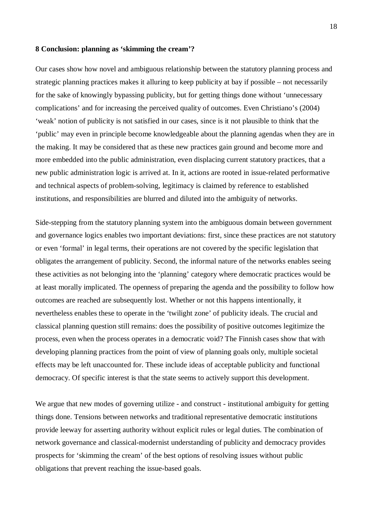#### **8 Conclusion: planning as 'skimming the cream'?**

Our cases show how novel and ambiguous relationship between the statutory planning process and strategic planning practices makes it alluring to keep publicity at bay if possible – not necessarily for the sake of knowingly bypassing publicity, but for getting things done without 'unnecessary complications' and for increasing the perceived quality of outcomes. Even Christiano's (2004) 'weak' notion of publicity is not satisfied in our cases, since is it not plausible to think that the 'public' may even in principle become knowledgeable about the planning agendas when they are in the making. It may be considered that as these new practices gain ground and become more and more embedded into the public administration, even displacing current statutory practices, that a new public administration logic is arrived at. In it, actions are rooted in issue-related performative and technical aspects of problem-solving, legitimacy is claimed by reference to established institutions, and responsibilities are blurred and diluted into the ambiguity of networks.

Side-stepping from the statutory planning system into the ambiguous domain between government and governance logics enables two important deviations: first, since these practices are not statutory or even 'formal' in legal terms, their operations are not covered by the specific legislation that obligates the arrangement of publicity. Second, the informal nature of the networks enables seeing these activities as not belonging into the 'planning' category where democratic practices would be at least morally implicated. The openness of preparing the agenda and the possibility to follow how outcomes are reached are subsequently lost. Whether or not this happens intentionally, it nevertheless enables these to operate in the 'twilight zone' of publicity ideals. The crucial and classical planning question still remains: does the possibility of positive outcomes legitimize the process, even when the process operates in a democratic void? The Finnish cases show that with developing planning practices from the point of view of planning goals only, multiple societal effects may be left unaccounted for. These include ideas of acceptable publicity and functional democracy. Of specific interest is that the state seems to actively support this development.

We argue that new modes of governing utilize - and construct - institutional ambiguity for getting things done. Tensions between networks and traditional representative democratic institutions provide leeway for asserting authority without explicit rules or legal duties. The combination of network governance and classical-modernist understanding of publicity and democracy provides prospects for 'skimming the cream' of the best options of resolving issues without public obligations that prevent reaching the issue-based goals.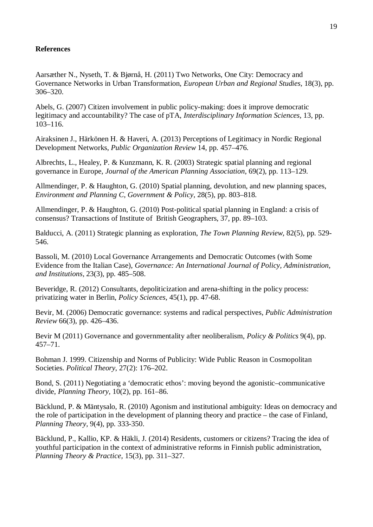## **References**

Aarsæther N., Nyseth, T. & Bjørnå, H. (2011) Two Networks, One City: Democracy and Governance Networks in Urban Transformation, *European Urban and Regional Studies,* 18(3), pp. 306–320.

Abels, G. (2007) Citizen involvement in public policy-making: does it improve democratic legitimacy and accountability? The case of pTA, *Interdisciplinary Information Sciences,* 13, pp. 103–116.

Airaksinen J., Härkönen H. & Haveri, A. (2013) Perceptions of Legitimacy in Nordic Regional Development Networks, *Public Organization Review* 14, pp. 457–476.

Albrechts, L., Healey, P. & Kunzmann, K. R. (2003) Strategic spatial planning and regional governance in Europe, *Journal of the American Planning Association*, 69(2), pp. 113–129.

Allmendinger, P. & Haughton, G. (2010) Spatial planning, devolution, and new planning spaces, *Environment and Planning C, Government & Policy,* 28(5), pp. 803–818.

Allmendinger, P. & Haughton, G. (2010) Post-political spatial planning in England: a crisis of consensus? Transactions of Institute of British Geographers, 37, pp. 89–103.

Balducci, A. (2011) Strategic planning as exploration, *The Town Planning Review,* 82(5), pp. 529- 546.

Bassoli, M. (2010) Local Governance Arrangements and Democratic Outcomes (with Some Evidence from the Italian Case), *Governance: An International Journal of Policy, Administration, and Institutions,* 23(3), pp. 485–508.

Beveridge, R. (2012) Consultants, depoliticization and arena-shifting in the policy process: privatizing water in Berlin, *Policy Sciences,* 45(1), pp. 47-68.

Bevir, M. (2006) Democratic governance: systems and radical perspectives, *Public Administration Review* 66(3), pp. 426–436.

Bevir M (2011) Governance and governmentality after neoliberalism, *Policy & Politics* 9(4), pp. 457–71.

Bohman J. 1999. Citizenship and Norms of Publicity: Wide Public Reason in Cosmopolitan Societies. *Political Theory*, 27(2): 176–202.

Bond, S. (2011) Negotiating a 'democratic ethos': moving beyond the agonistic–communicative divide, *Planning Theory,* 10(2), pp. 161–86.

Bäcklund, P. & Mäntysalo, R. (2010) Agonism and institutional ambiguity: Ideas on democracy and the role of participation in the development of planning theory and practice – the case of Finland, *Planning Theory,* 9(4), pp. 333-350.

Bäcklund, P., Kallio, KP. & Häkli, J. (2014) Residents, customers or citizens? Tracing the idea of youthful participation in the context of administrative reforms in Finnish public administration, *Planning Theory & Practice,* 15(3), pp. 311–327.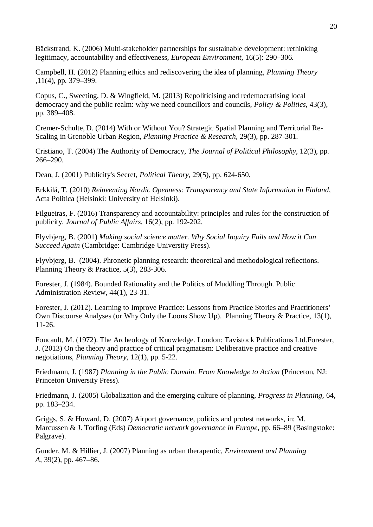Bäckstrand, K. (2006) Multi-stakeholder partnerships for sustainable development: rethinking legitimacy, accountability and effectiveness, *European Environment,* 16(5): 290–306.

Campbell, H. (2012) Planning ethics and rediscovering the idea of planning, *Planning Theory* ,11(4), pp. 379–399.

Copus, C., Sweeting, D. & Wingfield, M. (2013) Repoliticising and redemocratising local democracy and the public realm: why we need councillors and councils, *Policy & Politics,* 43(3), pp. 389–408.

Cremer-Schulte, D. (2014) With or Without You? Strategic Spatial Planning and Territorial Re-Scaling in Grenoble Urban Region, *Planning Practice & Research,* 29(3), pp. 287-301.

Cristiano, T. (2004) The Authority of Democracy, *The Journal of Political Philosophy,* 12(3), pp. 266–290.

Dean, J. (2001) Publicity's Secret, *Political Theory,* 29(5), pp. 624-650.

Erkkilä, T. (2010) *Reinventing Nordic Openness: Transparency and State Information in Finland*, Acta Politica (Helsinki: University of Helsinki).

Filgueiras, F. (2016) Transparency and accountability: principles and rules for the construction of publicity. *Journal of Public Affairs*, 16(2), pp. 192-202.

Flyvbjerg, B. (2001) *Making social science matter. Why Social Inquiry Fails and How it Can Succeed Again* (Cambridge: Cambridge University Press).

Flyvbjerg, B. (2004). Phronetic planning research: theoretical and methodological reflections. Planning Theory & Practice, 5(3), 283-306.

Forester, J. (1984). Bounded Rationality and the Politics of Muddling Through. Public Administration Review, 44(1), 23-31.

Forester, J. (2012). Learning to Improve Practice: Lessons from Practice Stories and Practitioners' Own Discourse Analyses (or Why Only the Loons Show Up). Planning Theory & Practice, 13(1), 11-26.

Foucault, M. (1972). The Archeology of Knowledge. London: Tavistock Publications Ltd.Forester, J. (2013) On the theory and practice of critical pragmatism: Deliberative practice and creative negotiations, *Planning Theory,* 12(1), pp. 5-22.

Friedmann, J. (1987) *Planning in the Public Domain. From Knowledge to Action* (Princeton, NJ: Princeton University Press).

Friedmann, J. (2005) Globalization and the emerging culture of planning, *Progress in Planning,* 64, pp. 183–234.

Griggs, S. & Howard, D. (2007) Airport governance, politics and protest networks, in: M. Marcussen & J. Torfing (Eds) *Democratic network governance in Europe,* pp. 66–89 (Basingstoke: Palgrave).

Gunder, M. & Hillier, J. (2007) Planning as urban therapeutic, *Environment and Planning A,* 39(2), pp. 467–86.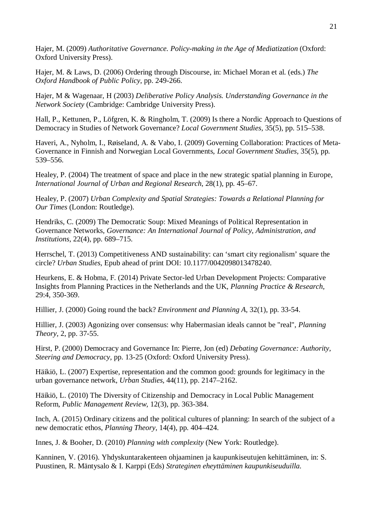Hajer, M. (2009) *Authoritative Governance. Policy-making in the Age of Mediatization* (Oxford: Oxford University Press).

Hajer, M. & Laws, D. (2006) Ordering through Discourse, in: Michael Moran et al. (eds.) *The Oxford Handbook of Public Policy*, pp. 249-266.

Hajer, M & Wagenaar, H (2003) *Deliberative Policy Analysis. Understanding Governance in the Network Society* (Cambridge: Cambridge University Press).

Hall, P., Kettunen, P., Löfgren, K. & Ringholm, T. (2009) Is there a Nordic Approach to Questions of Democracy in Studies of Network Governance? *Local Government Studies,* 35(5), pp. 515–538.

Haveri, A., Nyholm, I., Røiseland, A. & Vabo, I. (2009) Governing Collaboration: Practices of Meta-Governance in Finnish and Norwegian Local Governments, *Local Government Studies,* 35(5), pp. 539–556.

Healey, P. (2004) The treatment of space and place in the new strategic spatial planning in Europe, *International Journal of Urban and Regional Research*, 28(1), pp. 45–67.

Healey, P. (2007) *Urban Complexity and Spatial Strategies: Towards a Relational Planning for Our Times* (London: Routledge).

Hendriks, C. (2009) The Democratic Soup: Mixed Meanings of Political Representation in Governance Networks, *Governance: An International Journal of Policy, Administration, and Institutions,* 22(4), pp. 689–715.

Herrschel, T. (2013) Competitiveness AND sustainability: can 'smart city regionalism' square the circle? *Urban Studies*, Epub ahead of print DOI: 10.1177/0042098013478240.

Heurkens, E. & Hobma, F. (2014) Private Sector-led Urban Development Projects: Comparative Insights from Planning Practices in the Netherlands and the UK, *Planning Practice & Research,* 29:4, 350-369.

Hillier, J. (2000) Going round the back? *Environment and Planning A,* 32(1), pp. 33-54.

Hillier, J. (2003) Agonizing over consensus: why Habermasian ideals cannot be "real", *Planning Theory,* 2, pp. 37-55.

Hirst, P. (2000) Democracy and Governance In: Pierre, Jon (ed) *Debating Governance: Authority, Steering and Democracy,* pp. 13-25 (Oxford: Oxford University Press).

Häikiö, L. (2007) Expertise, representation and the common good: grounds for legitimacy in the urban governance network, *Urban Studies,* 44(11), pp. 2147–2162.

Häikiö, L. (2010) The Diversity of Citizenship and Democracy in Local Public Management Reform, *Public Management Review,* 12(3), pp. 363-384.

Inch, A. (2015) Ordinary citizens and the political cultures of planning: In search of the subject of a new democratic ethos, *Planning Theory,* 14(4), pp. 404–424.

Innes, J. & Booher, D. (2010) *Planning with complexity* (New York: Routledge).

Kanninen, V. (2016). Yhdyskuntarakenteen ohjaaminen ja kaupunkiseutujen kehittäminen, in: S. Puustinen, R. Mäntysalo & I. Karppi (Eds) *Strateginen eheyttäminen kaupunkiseuduilla.*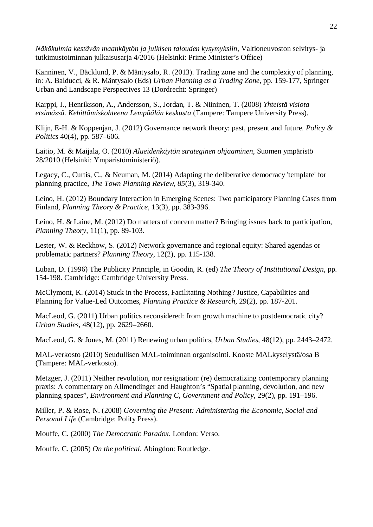*Näkökulmia kestävän maankäytön ja julkisen talouden kysymyksiin*, Valtioneuvoston selvitys- ja tutkimustoiminnan julkaisusarja 4/2016 (Helsinki: Prime Minister's Office)

Kanninen, V., Bäcklund, P. & Mäntysalo, R. (2013). Trading zone and the complexity of planning, in: A. Balducci, & R. Mäntysalo (Eds) *Urban Planning as a Trading Zone,* pp. 159-177, Springer Urban and Landscape Perspectives 13 (Dordrecht: Springer)

Karppi, I., Henriksson, A., Andersson, S., Jordan, T. & Niininen, T. (2008) *Yhteistä visiota etsimässä. Kehittämiskohteena Lempäälän keskusta* (Tampere: Tampere University Press).

Klijn, E-H. & Koppenjan, J. (2012) Governance network theory: past, present and future. *Policy & Politics* 40(4), pp. 587–606.

Laitio, M. & Maijala, O. (2010) *Alueidenkäytön strateginen ohjaaminen*, Suomen ympäristö 28/2010 (Helsinki: Ympäristöministeriö).

Legacy, C., Curtis, C., & Neuman, M. (2014) Adapting the deliberative democracy 'template' for planning practice, *The Town Planning Review, 85*(3), 319-340.

Leino, H. (2012) Boundary Interaction in Emerging Scenes: Two participatory Planning Cases from Finland, *Planning Theory & Practice,* 13(3), pp. 383-396.

Leino, H. & Laine, M. (2012) Do matters of concern matter? Bringing issues back to participation, *Planning Theory,* 11(1), pp. 89-103.

Lester, W. & Reckhow, S. (2012) Network governance and regional equity: Shared agendas or problematic partners? *Planning Theory,* 12(2), pp. 115-138.

Luban, D. (1996) The Publicity Principle, in Goodin, R. (ed) *The Theory of Institutional Design*, pp. 154-198. Cambridge: Cambridge University Press.

McClymont, K. (2014) Stuck in the Process, Facilitating Nothing? Justice, Capabilities and Planning for Value-Led Outcomes, *Planning Practice & Research,* 29(2), pp. 187-201.

MacLeod, G. (2011) Urban politics reconsidered: from growth machine to postdemocratic city? *Urban Studies,* 48(12), pp. 2629–2660.

MacLeod, G. & Jones, M. (2011) Renewing urban politics, *Urban Studies,* 48(12), pp. 2443–2472.

MAL-verkosto (2010) Seudullisen MAL-toiminnan organisointi. Kooste MALkyselystä/osa B (Tampere: MAL-verkosto).

Metzger, J. (2011) Neither revolution, nor resignation: (re) democratizing contemporary planning praxis: A commentary on Allmendinger and Haughton's "Spatial planning, devolution, and new planning spaces", *Environment and Planning C, Government and Policy,* 29(2), pp. 191–196.

Miller, P. & Rose, N. (2008) *Governing the Present: Administering the Economic, Social and Personal Life* (Cambridge: Polity Press).

Mouffe, C. (2000) *The Democratic Paradox*. London: Verso.

Mouffe, C. (2005) *On the political.* Abingdon: Routledge.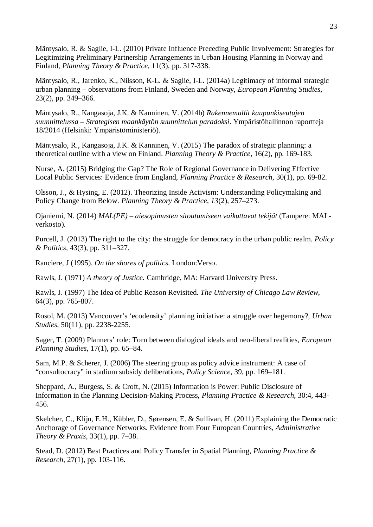Mäntysalo, R. & Saglie, I-L. (2010) Private Influence Preceding Public Involvement: Strategies for Legitimizing Preliminary Partnership Arrangements in Urban Housing Planning in Norway and Finland, *Planning Theory & Practice,* 11(3), pp. 317-338.

Mäntysalo, R., Jarenko, K., Nilsson, K-L. & Saglie, I-L. (2014a) Legitimacy of informal strategic urban planning – observations from Finland, Sweden and Norway, *European Planning Studies,* 23(2), pp. 349–366.

Mäntysalo, R., Kangasoja, J.K. & Kanninen, V. (2014b) *Rakennemallit kaupunkiseutujen suunnittelussa – Strategisen maankäytön suunnittelun paradoksi*. Ympäristöhallinnon raportteja 18/2014 (Helsinki: Ympäristöministeriö).

Mäntysalo, R., Kangasoja, J.K. & Kanninen, V. (2015) The paradox of strategic planning: a theoretical outline with a view on Finland. *Planning Theory & Practice,* 16(2), pp. 169-183.

Nurse, A. (2015) Bridging the Gap? The Role of Regional Governance in Delivering Effective Local Public Services: Evidence from England, *Planning Practice & Research,* 30(1), pp. 69-82.

Olsson, J., & Hysing, E. (2012). Theorizing Inside Activism: Understanding Policymaking and Policy Change from Below. *Planning Theory & Practice*, *13*(2), 257–273.

Ojaniemi, N. (2014) *MAL(PE) – aiesopimusten sitoutumiseen vaikuttavat tekijät* (Tampere: MALverkosto).

Purcell, J. (2013) The right to the city: the struggle for democracy in the urban public realm. *Policy & Politics,* 43(3), pp. 311–327.

Ranciere, J (1995). *On the shores of politics*. London:Verso.

Rawls, J. (1971) *A theory of Justice.* Cambridge, MA: Harvard University Press.

Rawls, J. (1997) The Idea of Public Reason Revisited. *The University of Chicago Law Review*, 64(3), pp. 765-807.

Rosol, M. (2013) Vancouver's 'ecodensity' planning initiative: a struggle over hegemony?, *Urban Studies*, 50(11), pp. 2238-2255.

Sager, T. (2009) Planners' role: Torn between dialogical ideals and neo-liberal realities, *European Planning Studies,* 17(1), pp. 65–84.

Sam, M.P. & Scherer, J. (2006) The steering group as policy advice instrument: A case of "consultocracy" in stadium subsidy deliberations, *Policy Science,* 39, pp. 169–181.

Sheppard, A., Burgess, S. & Croft, N. (2015) Information is Power: Public Disclosure of Information in the Planning Decision-Making Process, *Planning Practice & Research*, 30:4, 443- 456.

Skelcher, C., Klijn, E.H., Kübler, D., Sørensen, E. & Sullivan, H. (2011) Explaining the Democratic Anchorage of Governance Networks. Evidence from Four European Countries, *Administrative Theory & Praxis,* 33(1), pp. 7–38.

Stead, D. (2012) Best Practices and Policy Transfer in Spatial Planning, *Planning Practice & Research,* 27(1), pp. 103-116.